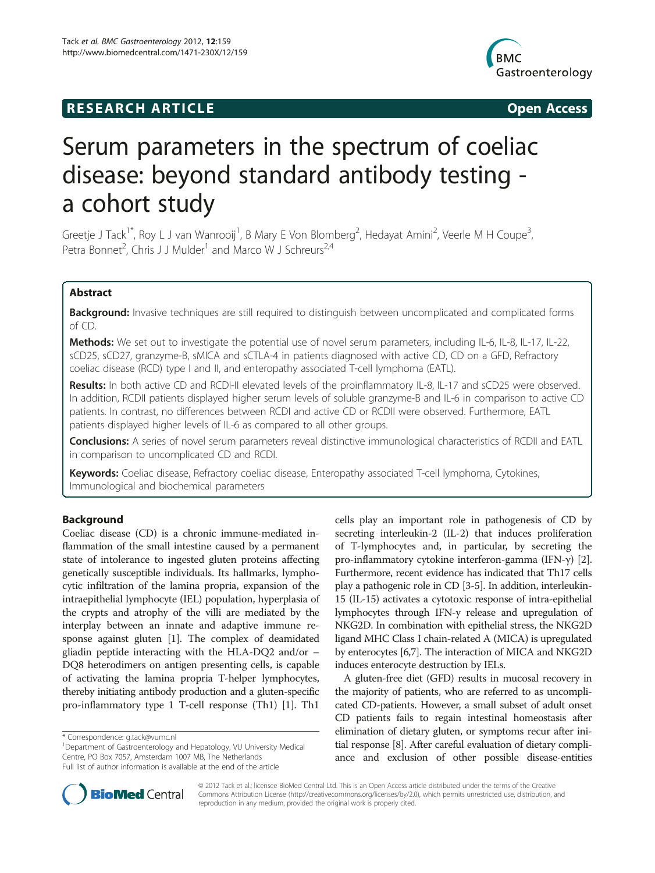# **RESEARCH ARTICLE Example 2014 The SEAR CH ACCESS**



# Serum parameters in the spectrum of coeliac disease: beyond standard antibody testing a cohort study

Greetje J Tack<sup>1\*</sup>, Roy L J van Wanrooij<sup>1</sup>, B Mary E Von Blomberg<sup>2</sup>, Hedayat Amini<sup>2</sup>, Veerle M H Coupe<sup>3</sup> , Petra Bonnet<sup>2</sup>, Chris J J Mulder<sup>1</sup> and Marco W J Schreurs<sup>2,4</sup>

# Abstract

Background: Invasive techniques are still required to distinguish between uncomplicated and complicated forms of CD.

Methods: We set out to investigate the potential use of novel serum parameters, including IL-6, IL-8, IL-17, IL-22, sCD25, sCD27, granzyme-B, sMICA and sCTLA-4 in patients diagnosed with active CD, CD on a GFD, Refractory coeliac disease (RCD) type I and II, and enteropathy associated T-cell lymphoma (EATL).

Results: In both active CD and RCDI-II elevated levels of the proinflammatory IL-8, IL-17 and sCD25 were observed. In addition, RCDII patients displayed higher serum levels of soluble granzyme-B and IL-6 in comparison to active CD patients. In contrast, no differences between RCDI and active CD or RCDII were observed. Furthermore, EATL patients displayed higher levels of IL-6 as compared to all other groups.

Conclusions: A series of novel serum parameters reveal distinctive immunological characteristics of RCDII and EATL in comparison to uncomplicated CD and RCDI.

Keywords: Coeliac disease, Refractory coeliac disease, Enteropathy associated T-cell lymphoma, Cytokines, Immunological and biochemical parameters

# Background

Coeliac disease (CD) is a chronic immune-mediated inflammation of the small intestine caused by a permanent state of intolerance to ingested gluten proteins affecting genetically susceptible individuals. Its hallmarks, lymphocytic infiltration of the lamina propria, expansion of the intraepithelial lymphocyte (IEL) population, hyperplasia of the crypts and atrophy of the villi are mediated by the interplay between an innate and adaptive immune response against gluten [[1](#page-6-0)]. The complex of deamidated gliadin peptide interacting with the HLA-DQ2 and/or – DQ8 heterodimers on antigen presenting cells, is capable of activating the lamina propria T-helper lymphocytes, thereby initiating antibody production and a gluten-specific pro-inflammatory type 1 T-cell response (Th1) [[1](#page-6-0)]. Th1

cells play an important role in pathogenesis of CD by secreting interleukin-2 (IL-2) that induces proliferation of T-lymphocytes and, in particular, by secreting the pro-inflammatory cytokine interferon-gamma (IFN-γ) [[2](#page-6-0)]. Furthermore, recent evidence has indicated that Th17 cells play a pathogenic role in CD [\[3](#page-6-0)-[5](#page-6-0)]. In addition, interleukin-15 (IL-15) activates a cytotoxic response of intra-epithelial lymphocytes through IFN-y release and upregulation of NKG2D. In combination with epithelial stress, the NKG2D ligand MHC Class I chain-related A (MICA) is upregulated by enterocytes [\[6,7\]](#page-6-0). The interaction of MICA and NKG2D induces enterocyte destruction by IELs.

A gluten-free diet (GFD) results in mucosal recovery in the majority of patients, who are referred to as uncomplicated CD-patients. However, a small subset of adult onset CD patients fails to regain intestinal homeostasis after elimination of dietary gluten, or symptoms recur after initial response [\[8\]](#page-6-0). After careful evaluation of dietary compliance and exclusion of other possible disease-entities



© 2012 Tack et al.; licensee BioMed Central Ltd. This is an Open Access article distributed under the terms of the Creative Commons Attribution License [\(http://creativecommons.org/licenses/by/2.0\)](http://creativecommons.org/licenses/by/2.0), which permits unrestricted use, distribution, and reproduction in any medium, provided the original work is properly cited.

<sup>\*</sup> Correspondence: [g.tack@vumc.nl](mailto:g.tack@vumc.nl) <sup>1</sup>

<sup>&</sup>lt;sup>1</sup>Department of Gastroenterology and Hepatology, VU University Medical Centre, PO Box 7057, Amsterdam 1007 MB, The Netherlands Full list of author information is available at the end of the article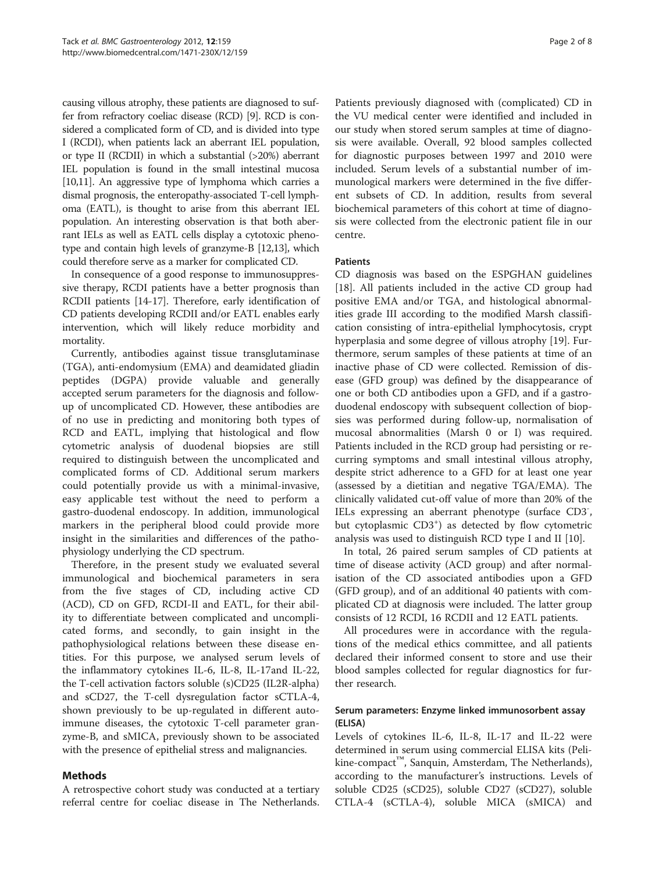causing villous atrophy, these patients are diagnosed to suffer from refractory coeliac disease (RCD) [\[9](#page-6-0)]. RCD is considered a complicated form of CD, and is divided into type I (RCDI), when patients lack an aberrant IEL population, or type II (RCDII) in which a substantial (>20%) aberrant IEL population is found in the small intestinal mucosa [[10,11\]](#page-6-0). An aggressive type of lymphoma which carries a dismal prognosis, the enteropathy-associated T-cell lymphoma (EATL), is thought to arise from this aberrant IEL population. An interesting observation is that both aberrant IELs as well as EATL cells display a cytotoxic phenotype and contain high levels of granzyme-B [\[12,](#page-6-0)[13](#page-7-0)], which could therefore serve as a marker for complicated CD.

In consequence of a good response to immunosuppressive therapy, RCDI patients have a better prognosis than RCDII patients [\[14-17](#page-7-0)]. Therefore, early identification of CD patients developing RCDII and/or EATL enables early intervention, which will likely reduce morbidity and mortality.

Currently, antibodies against tissue transglutaminase (TGA), anti-endomysium (EMA) and deamidated gliadin peptides (DGPA) provide valuable and generally accepted serum parameters for the diagnosis and followup of uncomplicated CD. However, these antibodies are of no use in predicting and monitoring both types of RCD and EATL, implying that histological and flow cytometric analysis of duodenal biopsies are still required to distinguish between the uncomplicated and complicated forms of CD. Additional serum markers could potentially provide us with a minimal-invasive, easy applicable test without the need to perform a gastro-duodenal endoscopy. In addition, immunological markers in the peripheral blood could provide more insight in the similarities and differences of the pathophysiology underlying the CD spectrum.

Therefore, in the present study we evaluated several immunological and biochemical parameters in sera from the five stages of CD, including active CD (ACD), CD on GFD, RCDI-II and EATL, for their ability to differentiate between complicated and uncomplicated forms, and secondly, to gain insight in the pathophysiological relations between these disease entities. For this purpose, we analysed serum levels of the inflammatory cytokines IL-6, IL-8, IL-17and IL-22, the T-cell activation factors soluble (s)CD25 (IL2R-alpha) and sCD27, the T-cell dysregulation factor sCTLA-4, shown previously to be up-regulated in different autoimmune diseases, the cytotoxic T-cell parameter granzyme-B, and sMICA, previously shown to be associated with the presence of epithelial stress and malignancies.

# Methods

A retrospective cohort study was conducted at a tertiary referral centre for coeliac disease in The Netherlands.

Patients previously diagnosed with (complicated) CD in the VU medical center were identified and included in our study when stored serum samples at time of diagnosis were available. Overall, 92 blood samples collected for diagnostic purposes between 1997 and 2010 were included. Serum levels of a substantial number of immunological markers were determined in the five different subsets of CD. In addition, results from several biochemical parameters of this cohort at time of diagnosis were collected from the electronic patient file in our centre.

# Patients

CD diagnosis was based on the ESPGHAN guidelines [[18\]](#page-7-0). All patients included in the active CD group had positive EMA and/or TGA, and histological abnormalities grade III according to the modified Marsh classification consisting of intra-epithelial lymphocytosis, crypt hyperplasia and some degree of villous atrophy [\[19\]](#page-7-0). Furthermore, serum samples of these patients at time of an inactive phase of CD were collected. Remission of disease (GFD group) was defined by the disappearance of one or both CD antibodies upon a GFD, and if a gastroduodenal endoscopy with subsequent collection of biopsies was performed during follow-up, normalisation of mucosal abnormalities (Marsh 0 or I) was required. Patients included in the RCD group had persisting or recurring symptoms and small intestinal villous atrophy, despite strict adherence to a GFD for at least one year (assessed by a dietitian and negative TGA/EMA). The clinically validated cut-off value of more than 20% of the IELs expressing an aberrant phenotype (surface CD3- , but cytoplasmic CD3<sup>+</sup>) as detected by flow cytometric analysis was used to distinguish RCD type I and II [[10\]](#page-6-0).

In total, 26 paired serum samples of CD patients at time of disease activity (ACD group) and after normalisation of the CD associated antibodies upon a GFD (GFD group), and of an additional 40 patients with complicated CD at diagnosis were included. The latter group consists of 12 RCDI, 16 RCDII and 12 EATL patients.

All procedures were in accordance with the regulations of the medical ethics committee, and all patients declared their informed consent to store and use their blood samples collected for regular diagnostics for further research.

# Serum parameters: Enzyme linked immunosorbent assay (ELISA)

Levels of cytokines IL-6, IL-8, IL-17 and IL-22 were determined in serum using commercial ELISA kits (Pelikine-compact<sup>™</sup>, Sanquin, Amsterdam, The Netherlands), according to the manufacturer's instructions. Levels of soluble CD25 (sCD25), soluble CD27 (sCD27), soluble CTLA-4 (sCTLA-4), soluble MICA (sMICA) and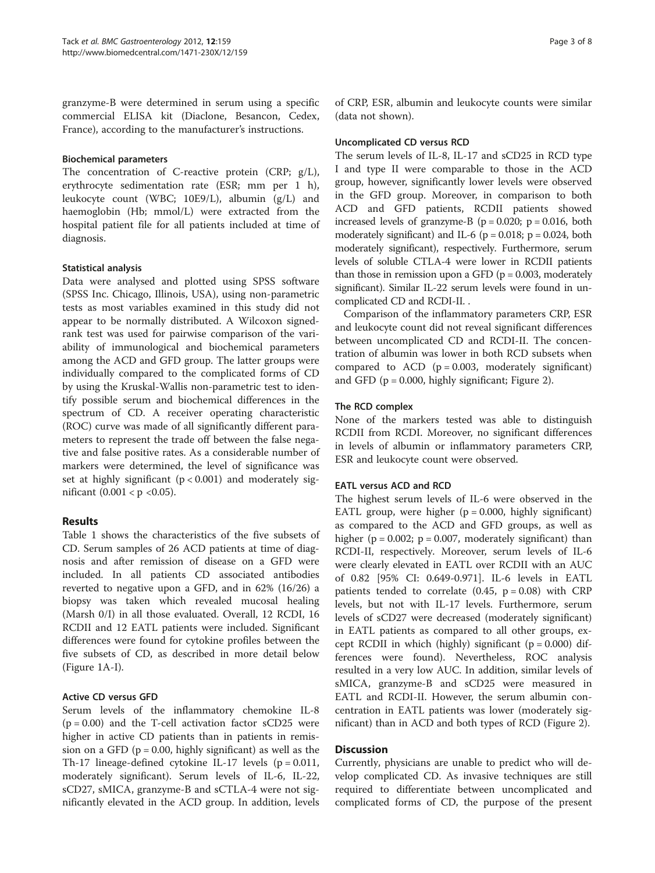granzyme-B were determined in serum using a specific commercial ELISA kit (Diaclone, Besancon, Cedex, France), according to the manufacturer's instructions.

# Biochemical parameters

The concentration of C-reactive protein (CRP; g/L), erythrocyte sedimentation rate (ESR; mm per 1 h), leukocyte count (WBC; 10E9/L), albumin (g/L) and haemoglobin (Hb; mmol/L) were extracted from the hospital patient file for all patients included at time of diagnosis.

# Statistical analysis

Data were analysed and plotted using SPSS software (SPSS Inc. Chicago, Illinois, USA), using non-parametric tests as most variables examined in this study did not appear to be normally distributed. A Wilcoxon signedrank test was used for pairwise comparison of the variability of immunological and biochemical parameters among the ACD and GFD group. The latter groups were individually compared to the complicated forms of CD by using the Kruskal-Wallis non-parametric test to identify possible serum and biochemical differences in the spectrum of CD. A receiver operating characteristic (ROC) curve was made of all significantly different parameters to represent the trade off between the false negative and false positive rates. As a considerable number of markers were determined, the level of significance was set at highly significant  $(p < 0.001)$  and moderately significant  $(0.001 < p < 0.05)$ .

# Results

Table [1](#page-3-0) shows the characteristics of the five subsets of CD. Serum samples of 26 ACD patients at time of diagnosis and after remission of disease on a GFD were included. In all patients CD associated antibodies reverted to negative upon a GFD, and in 62% (16/26) a biopsy was taken which revealed mucosal healing (Marsh 0/I) in all those evaluated. Overall, 12 RCDI, 16 RCDII and 12 EATL patients were included. Significant differences were found for cytokine profiles between the five subsets of CD, as described in more detail below (Figure [1](#page-4-0)A-I).

# Active CD versus GFD

Serum levels of the inflammatory chemokine IL-8  $(p = 0.00)$  and the T-cell activation factor sCD25 were higher in active CD patients than in patients in remission on a GFD ( $p = 0.00$ , highly significant) as well as the Th-17 lineage-defined cytokine IL-17 levels  $(p = 0.011,$ moderately significant). Serum levels of IL-6, IL-22, sCD27, sMICA, granzyme-B and sCTLA-4 were not significantly elevated in the ACD group. In addition, levels of CRP, ESR, albumin and leukocyte counts were similar (data not shown).

# Uncomplicated CD versus RCD

The serum levels of IL-8, IL-17 and sCD25 in RCD type I and type II were comparable to those in the ACD group, however, significantly lower levels were observed in the GFD group. Moreover, in comparison to both ACD and GFD patients, RCDII patients showed increased levels of granzyme-B ( $p = 0.020$ ;  $p = 0.016$ , both moderately significant) and IL-6 ( $p = 0.018$ ;  $p = 0.024$ , both moderately significant), respectively. Furthermore, serum levels of soluble CTLA-4 were lower in RCDII patients than those in remission upon a GFD ( $p = 0.003$ , moderately significant). Similar IL-22 serum levels were found in uncomplicated CD and RCDI-II. .

Comparison of the inflammatory parameters CRP, ESR and leukocyte count did not reveal significant differences between uncomplicated CD and RCDI-II. The concentration of albumin was lower in both RCD subsets when compared to  $ACD$  ( $p = 0.003$ , moderately significant) and GFD ( $p = 0.000$ , highly significant; Figure [2](#page-5-0)).

# The RCD complex

None of the markers tested was able to distinguish RCDII from RCDI. Moreover, no significant differences in levels of albumin or inflammatory parameters CRP, ESR and leukocyte count were observed.

# EATL versus ACD and RCD

The highest serum levels of IL-6 were observed in the EATL group, were higher  $(p = 0.000, highly significant)$ as compared to the ACD and GFD groups, as well as higher ( $p = 0.002$ ;  $p = 0.007$ , moderately significant) than RCDI-II, respectively. Moreover, serum levels of IL-6 were clearly elevated in EATL over RCDII with an AUC of 0.82 [95% CI: 0.649-0.971]. IL-6 levels in EATL patients tended to correlate  $(0.45, p = 0.08)$  with CRP levels, but not with IL-17 levels. Furthermore, serum levels of sCD27 were decreased (moderately significant) in EATL patients as compared to all other groups, except RCDII in which (highly) significant ( $p = 0.000$ ) differences were found). Nevertheless, ROC analysis resulted in a very low AUC. In addition, similar levels of sMICA, granzyme-B and sCD25 were measured in EATL and RCDI-II. However, the serum albumin concentration in EATL patients was lower (moderately significant) than in ACD and both types of RCD (Figure [2](#page-5-0)).

# Discussion

Currently, physicians are unable to predict who will develop complicated CD. As invasive techniques are still required to differentiate between uncomplicated and complicated forms of CD, the purpose of the present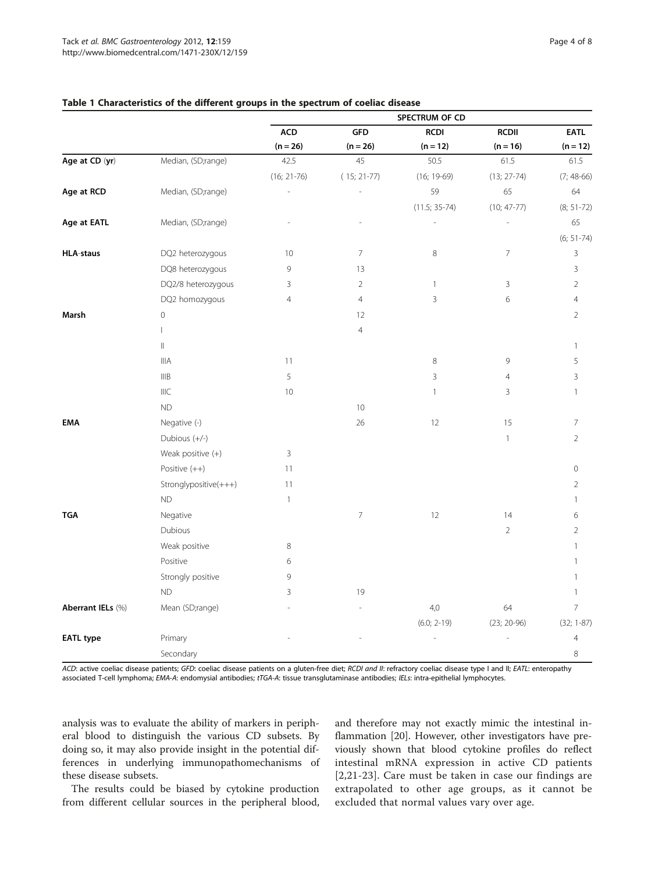|                   |                       | SPECTRUM OF CD |                |                 |                 |                     |
|-------------------|-----------------------|----------------|----------------|-----------------|-----------------|---------------------|
|                   |                       | <b>ACD</b>     | <b>GFD</b>     | <b>RCDI</b>     | <b>RCDII</b>    | <b>EATL</b>         |
|                   |                       | $(n = 26)$     | $(n = 26)$     | $(n = 12)$      | $(n = 16)$      | $(n = 12)$          |
| Age at CD (yr)    | Median, (SD;range)    | 42.5           | 45             | 50.5            | 61.5            | 61.5                |
|                   |                       | $(16; 21-76)$  | $(15; 21-77)$  | $(16; 19-69)$   | $(13; 27-74)$   | $(7; 48-66)$        |
| Age at RCD        | Median, (SD;range)    |                |                | 59              | 65              | 64                  |
|                   |                       |                |                | $(11.5; 35-74)$ | $(10; 47 - 77)$ | $(8; 51-72)$        |
| Age at EATL       | Median, (SD;range)    |                |                |                 |                 | 65                  |
|                   |                       |                |                |                 |                 | $(6; 51-74)$        |
| <b>HLA-staus</b>  | DQ2 heterozygous      | 10             | $\overline{7}$ | $\,8\,$         | $\overline{7}$  | $\mathsf 3$         |
|                   | DQ8 heterozygous      | 9              | 13             |                 |                 | 3                   |
|                   | DQ2/8 heterozygous    | 3              | $\overline{2}$ | $\mathbf{1}$    | 3               | $\overline{2}$      |
|                   | DQ2 homozygous        | $\overline{4}$ | 4              | $\mathsf{3}$    | 6               | $\overline{4}$      |
| Marsh             | $\mathbf 0$           |                | 12             |                 |                 | $\overline{2}$      |
|                   | $\mathbf{I}$          |                | $\overline{4}$ |                 |                 |                     |
|                   | $\vert\vert$          |                |                |                 |                 | $\overline{1}$      |
|                   | <b>IIIA</b>           | 11             |                | 8               | 9               | 5                   |
|                   | IIIB                  | 5              |                | $\overline{3}$  | $\overline{4}$  | 3                   |
|                   | <b>IIIC</b>           | 10             |                | $\mathbf{1}$    | 3               | $\mathbf{1}$        |
|                   | <b>ND</b>             |                | 10             |                 |                 |                     |
| <b>EMA</b>        | Negative (-)          |                | 26             | 12              | 15              | 7                   |
|                   | Dubious (+/-)         |                |                |                 | $\mathbf{1}$    | $\overline{2}$      |
|                   | Weak positive (+)     | 3              |                |                 |                 |                     |
|                   | Positive $(++)$       | 11             |                |                 |                 | $\mathsf{O}\xspace$ |
|                   | Stronglypositive(+++) | 11             |                |                 |                 | $\overline{2}$      |
|                   | $\mathsf{ND}$         | $\mathbf{1}$   |                |                 |                 | $\mathbf{1}$        |
| <b>TGA</b>        | Negative              |                | $\overline{7}$ | 12              | 14              | 6                   |
|                   | Dubious               |                |                |                 | $\overline{2}$  | $\overline{2}$      |
|                   | Weak positive         | 8              |                |                 |                 | $\mathbf{1}$        |
|                   | Positive              | 6              |                |                 |                 | $\mathbf{1}$        |
|                   | Strongly positive     | 9              |                |                 |                 | 1                   |
|                   | ND                    | 3              | 19             |                 |                 | $\mathbf{1}$        |
| Aberrant IELs (%) | Mean (SD;range)       |                |                | 4,0             | 64              | $\overline{7}$      |
|                   |                       |                |                | $(6.0; 2-19)$   | $(23; 20-96)$   | $(32; 1-87)$        |
| <b>EATL type</b>  | Primary               |                |                |                 |                 | $\overline{4}$      |
|                   | Secondary             |                |                |                 |                 | 8                   |

# <span id="page-3-0"></span>Table 1 Characteristics of the different groups in the spectrum of coeliac disease

ACD: active coeliac disease patients; GFD: coeliac disease patients on a gluten-free diet; RCDI and II: refractory coeliac disease type I and II; EATL: enteropathy associated T-cell lymphoma; EMA-A: endomysial antibodies; tTGA-A: tissue transglutaminase antibodies; IELs: intra-epithelial lymphocytes.

analysis was to evaluate the ability of markers in peripheral blood to distinguish the various CD subsets. By doing so, it may also provide insight in the potential differences in underlying immunopathomechanisms of these disease subsets.

The results could be biased by cytokine production from different cellular sources in the peripheral blood, and therefore may not exactly mimic the intestinal inflammation [\[20](#page-7-0)]. However, other investigators have previously shown that blood cytokine profiles do reflect intestinal mRNA expression in active CD patients [[2](#page-6-0)[,21-23\]](#page-7-0). Care must be taken in case our findings are extrapolated to other age groups, as it cannot be excluded that normal values vary over age.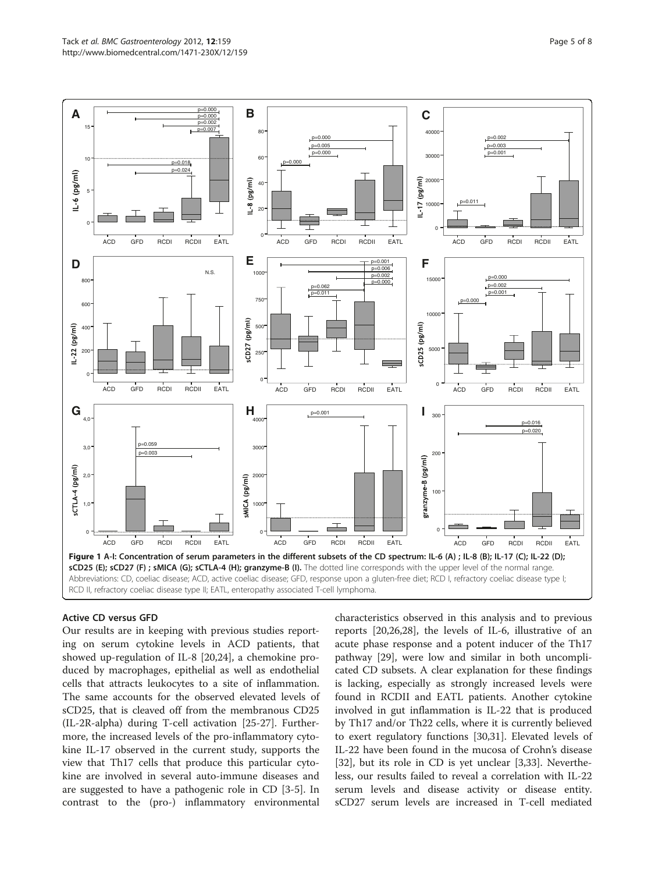<span id="page-4-0"></span>

# Active CD versus GFD

Our results are in keeping with previous studies reporting on serum cytokine levels in ACD patients, that showed up-regulation of IL-8 [[20,24\]](#page-7-0), a chemokine produced by macrophages, epithelial as well as endothelial cells that attracts leukocytes to a site of inflammation. The same accounts for the observed elevated levels of sCD25, that is cleaved off from the membranous CD25 (IL-2R-alpha) during T-cell activation [\[25](#page-7-0)-[27\]](#page-7-0). Furthermore, the increased levels of the pro-inflammatory cytokine IL-17 observed in the current study, supports the view that Th17 cells that produce this particular cytokine are involved in several auto-immune diseases and are suggested to have a pathogenic role in CD [\[3](#page-6-0)-[5\]](#page-6-0). In contrast to the (pro-) inflammatory environmental characteristics observed in this analysis and to previous reports [[20,26,28\]](#page-7-0), the levels of IL-6, illustrative of an acute phase response and a potent inducer of the Th17 pathway [\[29\]](#page-7-0), were low and similar in both uncomplicated CD subsets. A clear explanation for these findings is lacking, especially as strongly increased levels were found in RCDII and EATL patients. Another cytokine involved in gut inflammation is IL-22 that is produced by Th17 and/or Th22 cells, where it is currently believed to exert regulatory functions [[30,31\]](#page-7-0). Elevated levels of IL-22 have been found in the mucosa of Crohn's disease [[32\]](#page-7-0), but its role in CD is yet unclear [\[3](#page-6-0)[,33](#page-7-0)]. Nevertheless, our results failed to reveal a correlation with IL-22 serum levels and disease activity or disease entity. sCD27 serum levels are increased in T-cell mediated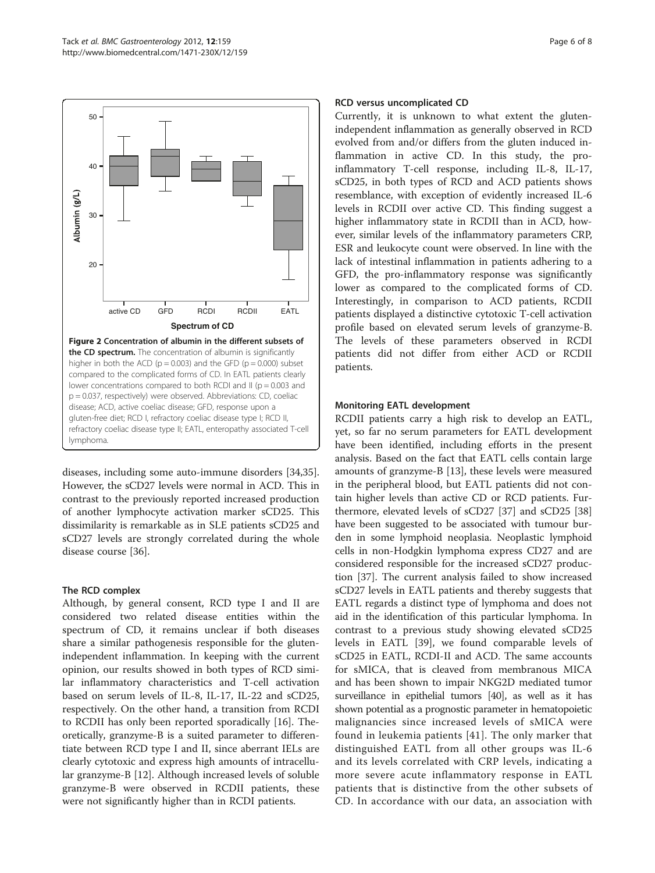<span id="page-5-0"></span>

diseases, including some auto-immune disorders [\[34,35](#page-7-0)]. However, the sCD27 levels were normal in ACD. This in contrast to the previously reported increased production of another lymphocyte activation marker sCD25. This dissimilarity is remarkable as in SLE patients sCD25 and sCD27 levels are strongly correlated during the whole disease course [\[36\]](#page-7-0).

### The RCD complex

Although, by general consent, RCD type I and II are considered two related disease entities within the spectrum of CD, it remains unclear if both diseases share a similar pathogenesis responsible for the glutenindependent inflammation. In keeping with the current opinion, our results showed in both types of RCD similar inflammatory characteristics and T-cell activation based on serum levels of IL-8, IL-17, IL-22 and sCD25, respectively. On the other hand, a transition from RCDI to RCDII has only been reported sporadically [\[16](#page-7-0)]. Theoretically, granzyme-B is a suited parameter to differentiate between RCD type I and II, since aberrant IELs are clearly cytotoxic and express high amounts of intracellular granzyme-B [\[12\]](#page-6-0). Although increased levels of soluble granzyme-B were observed in RCDII patients, these were not significantly higher than in RCDI patients.

# RCD versus uncomplicated CD

Currently, it is unknown to what extent the glutenindependent inflammation as generally observed in RCD evolved from and/or differs from the gluten induced inflammation in active CD. In this study, the proinflammatory T-cell response, including IL-8, IL-17, sCD25, in both types of RCD and ACD patients shows resemblance, with exception of evidently increased IL-6 levels in RCDII over active CD. This finding suggest a higher inflammatory state in RCDII than in ACD, however, similar levels of the inflammatory parameters CRP, ESR and leukocyte count were observed. In line with the lack of intestinal inflammation in patients adhering to a GFD, the pro-inflammatory response was significantly lower as compared to the complicated forms of CD. Interestingly, in comparison to ACD patients, RCDII patients displayed a distinctive cytotoxic T-cell activation profile based on elevated serum levels of granzyme-B. The levels of these parameters observed in RCDI patients did not differ from either ACD or RCDII patients.

# Monitoring EATL development

RCDII patients carry a high risk to develop an EATL, yet, so far no serum parameters for EATL development have been identified, including efforts in the present analysis. Based on the fact that EATL cells contain large amounts of granzyme-B [\[13](#page-7-0)], these levels were measured in the peripheral blood, but EATL patients did not contain higher levels than active CD or RCD patients. Furthermore, elevated levels of sCD27 [\[37](#page-7-0)] and sCD25 [[38](#page-7-0)] have been suggested to be associated with tumour burden in some lymphoid neoplasia. Neoplastic lymphoid cells in non-Hodgkin lymphoma express CD27 and are considered responsible for the increased sCD27 production [\[37\]](#page-7-0). The current analysis failed to show increased sCD27 levels in EATL patients and thereby suggests that EATL regards a distinct type of lymphoma and does not aid in the identification of this particular lymphoma. In contrast to a previous study showing elevated sCD25 levels in EATL [\[39](#page-7-0)], we found comparable levels of sCD25 in EATL, RCDI-II and ACD. The same accounts for sMICA, that is cleaved from membranous MICA and has been shown to impair NKG2D mediated tumor surveillance in epithelial tumors [[40\]](#page-7-0), as well as it has shown potential as a prognostic parameter in hematopoietic malignancies since increased levels of sMICA were found in leukemia patients [[41](#page-7-0)]. The only marker that distinguished EATL from all other groups was IL-6 and its levels correlated with CRP levels, indicating a more severe acute inflammatory response in EATL patients that is distinctive from the other subsets of CD. In accordance with our data, an association with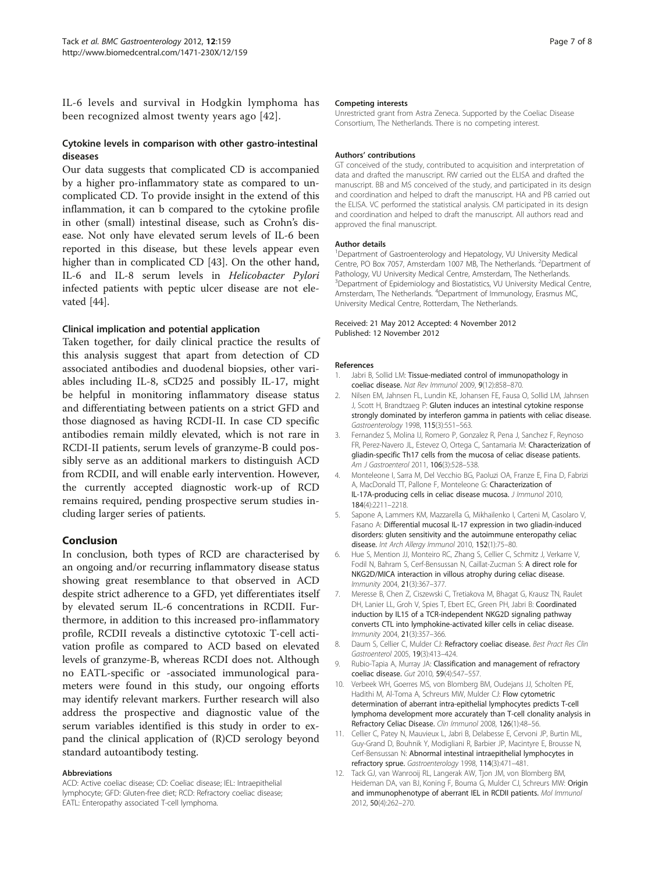<span id="page-6-0"></span>IL-6 levels and survival in Hodgkin lymphoma has been recognized almost twenty years ago [[42\]](#page-7-0).

# Cytokine levels in comparison with other gastro-intestinal diseases

Our data suggests that complicated CD is accompanied by a higher pro-inflammatory state as compared to uncomplicated CD. To provide insight in the extend of this inflammation, it can b compared to the cytokine profile in other (small) intestinal disease, such as Crohn's disease. Not only have elevated serum levels of IL-6 been reported in this disease, but these levels appear even higher than in complicated CD [\[43\]](#page-7-0). On the other hand, IL-6 and IL-8 serum levels in Helicobacter Pylori infected patients with peptic ulcer disease are not elevated [\[44](#page-7-0)].

# Clinical implication and potential application

Taken together, for daily clinical practice the results of this analysis suggest that apart from detection of CD associated antibodies and duodenal biopsies, other variables including IL-8, sCD25 and possibly IL-17, might be helpful in monitoring inflammatory disease status and differentiating between patients on a strict GFD and those diagnosed as having RCDI-II. In case CD specific antibodies remain mildly elevated, which is not rare in RCDI-II patients, serum levels of granzyme-B could possibly serve as an additional markers to distinguish ACD from RCDII, and will enable early intervention. However, the currently accepted diagnostic work-up of RCD remains required, pending prospective serum studies including larger series of patients.

# Conclusion

In conclusion, both types of RCD are characterised by an ongoing and/or recurring inflammatory disease status showing great resemblance to that observed in ACD despite strict adherence to a GFD, yet differentiates itself by elevated serum IL-6 concentrations in RCDII. Furthermore, in addition to this increased pro-inflammatory profile, RCDII reveals a distinctive cytotoxic T-cell activation profile as compared to ACD based on elevated levels of granzyme-B, whereas RCDI does not. Although no EATL-specific or -associated immunological parameters were found in this study, our ongoing efforts may identify relevant markers. Further research will also address the prospective and diagnostic value of the serum variables identified is this study in order to expand the clinical application of (R)CD serology beyond standard autoantibody testing.

#### Abbreviations

ACD: Active coeliac disease; CD: Coeliac disease; IEL: Intraepithelial lymphocyte; GFD: Gluten-free diet; RCD: Refractory coeliac disease; EATL: Enteropathy associated T-cell lymphoma.

#### Competing interests

Unrestricted grant from Astra Zeneca. Supported by the Coeliac Disease Consortium, The Netherlands. There is no competing interest.

#### Authors' contributions

GT conceived of the study, contributed to acquisition and interpretation of data and drafted the manuscript. RW carried out the ELISA and drafted the manuscript. BB and MS conceived of the study, and participated in its design and coordination and helped to draft the manuscript. HA and PB carried out the ELISA. VC performed the statistical analysis. CM participated in its design and coordination and helped to draft the manuscript. All authors read and approved the final manuscript.

#### Author details

<sup>1</sup>Department of Gastroenterology and Hepatology, VU University Medical Centre, PO Box 7057, Amsterdam 1007 MB, The Netherlands. <sup>2</sup>Department of Pathology, VU University Medical Centre, Amsterdam, The Netherlands. <sup>3</sup>Department of Epidemiology and Biostatistics, VU University Medical Centre, Amsterdam, The Netherlands. <sup>4</sup> Department of Immunology, Erasmus MC, University Medical Centre, Rotterdam, The Netherlands.

#### Received: 21 May 2012 Accepted: 4 November 2012 Published: 12 November 2012

#### References

- 1. Jabri B, Sollid LM: Tissue-mediated control of immunopathology in coeliac disease. Nat Rev Immunol 2009, 9(12):858–870.
- 2. Nilsen EM, Jahnsen FL, Lundin KE, Johansen FE, Fausa O, Sollid LM, Jahnsen J, Scott H, Brandtzaeg P: Gluten induces an intestinal cytokine response strongly dominated by interferon gamma in patients with celiac disease. Gastroenterology 1998, 115(3):551–563.
- 3. Fernandez S, Molina IJ, Romero P, Gonzalez R, Pena J, Sanchez F, Reynoso FR, Perez-Navero JL, Estevez O, Ortega C, Santamaria M: Characterization of gliadin-specific Th17 cells from the mucosa of celiac disease patients. Am J Gastroenterol 2011, 106(3):528–538.
- 4. Monteleone I, Sarra M, Del Vecchio BG, Paoluzi OA, Franze E, Fina D, Fabrizi A, MacDonald TT, Pallone F, Monteleone G: Characterization of IL-17A-producing cells in celiac disease mucosa. J Immunol 2010, 184(4):2211–2218.
- 5. Sapone A, Lammers KM, Mazzarella G, Mikhailenko I, Carteni M, Casolaro V, Fasano A: Differential mucosal IL-17 expression in two gliadin-induced disorders: gluten sensitivity and the autoimmune enteropathy celiac disease. Int Arch Allergy Immunol 2010, 152(1):75–80.
- 6. Hue S, Mention JJ, Monteiro RC, Zhang S, Cellier C, Schmitz J, Verkarre V, Fodil N, Bahram S, Cerf-Bensussan N, Caillat-Zucman S: A direct role for NKG2D/MICA interaction in villous atrophy during celiac disease. Immunity 2004, 21(3):367–377.
- 7. Meresse B, Chen Z, Ciszewski C, Tretiakova M, Bhagat G, Krausz TN, Raulet DH, Lanier LL, Groh V, Spies T, Ebert EC, Green PH, Jabri B: Coordinated induction by IL15 of a TCR-independent NKG2D signaling pathway converts CTL into lymphokine-activated killer cells in celiac disease. Immunity 2004, 21(3):357–366.
- Daum S, Cellier C, Mulder CJ: Refractory coeliac disease. Best Pract Res Clin Gastroenterol 2005, 19(3):413–424.
- 9. Rubio-Tapia A, Murray JA: Classification and management of refractory coeliac disease. Gut 2010, 59(4):547–557.
- 10. Verbeek WH, Goerres MS, von Blomberg BM, Oudejans JJ, Scholten PE, Hadithi M, Al-Toma A, Schreurs MW, Mulder CJ: Flow cytometric determination of aberrant intra-epithelial lymphocytes predicts T-cell lymphoma development more accurately than T-cell clonality analysis in Refractory Celiac Disease. Clin Immunol 2008, 126(1):48–56.
- 11. Cellier C, Patey N, Mauvieux L, Jabri B, Delabesse E, Cervoni JP, Burtin ML, Guy-Grand D, Bouhnik Y, Modigliani R, Barbier JP, Macintyre E, Brousse N, Cerf-Bensussan N: Abnormal intestinal intraepithelial lymphocytes in refractory sprue. Gastroenterology 1998, 114(3):471–481.
- 12. Tack GJ, van Wanrooij RL, Langerak AW, Tjon JM, von Blomberg BM, Heideman DA, van BJ, Koning F, Bouma G, Mulder CJ, Schreurs MW: Origin and immunophenotype of aberrant IEL in RCDII patients. Mol Immunol 2012, 50(4):262–270.